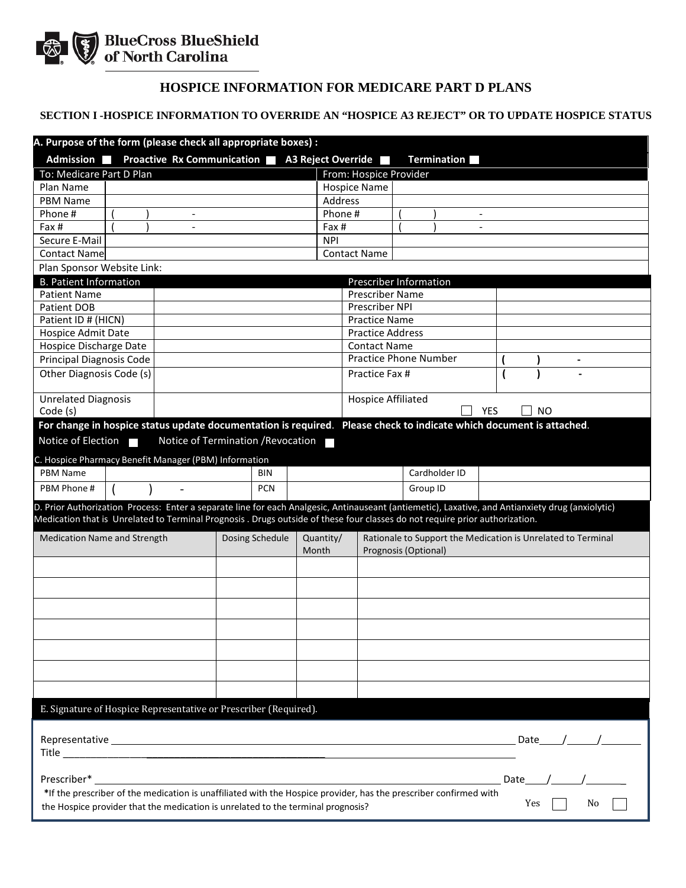

## **HOSPICE INFORMATION FOR MEDICARE PART D PLANS**

## **SECTION I -HOSPICE INFORMATION TO OVERRIDE AN "HOSPICE A3 REJECT" OR TO UPDATE HOSPICE STATUS**

| A. Purpose of the form (please check all appropriate boxes) :<br><b>Proactive Rx Communication</b><br>Admission <b>N</b><br><b>A3 Reject Override</b><br><b>Termination</b>                                                                                                     |                                                                                              |                     |                                                |                |            |      |   |
|---------------------------------------------------------------------------------------------------------------------------------------------------------------------------------------------------------------------------------------------------------------------------------|----------------------------------------------------------------------------------------------|---------------------|------------------------------------------------|----------------|------------|------|---|
| To: Medicare Part D Plan                                                                                                                                                                                                                                                        |                                                                                              |                     |                                                |                |            |      |   |
| Plan Name                                                                                                                                                                                                                                                                       |                                                                                              |                     | From: Hospice Provider                         |                |            |      |   |
|                                                                                                                                                                                                                                                                                 |                                                                                              |                     | <b>Hospice Name</b>                            |                |            |      |   |
| <b>PBM Name</b>                                                                                                                                                                                                                                                                 |                                                                                              | Address             |                                                |                |            |      |   |
| Phone#<br>$\overline{\phantom{a}}$                                                                                                                                                                                                                                              |                                                                                              | Phone#              |                                                |                |            |      |   |
| Fax #<br>$\overline{a}$<br>Secure E-Mail                                                                                                                                                                                                                                        |                                                                                              | Fax #<br><b>NPI</b> |                                                | $\overline{a}$ |            |      |   |
| <b>Contact Name</b>                                                                                                                                                                                                                                                             |                                                                                              |                     | <b>Contact Name</b>                            |                |            |      |   |
|                                                                                                                                                                                                                                                                                 |                                                                                              |                     |                                                |                |            |      |   |
| Plan Sponsor Website Link:                                                                                                                                                                                                                                                      |                                                                                              |                     |                                                |                |            |      |   |
| <b>B. Patient Information</b>                                                                                                                                                                                                                                                   |                                                                                              |                     | <b>Prescriber Information</b>                  |                |            |      |   |
| <b>Patient Name</b><br><b>Patient DOB</b>                                                                                                                                                                                                                                       |                                                                                              |                     | <b>Prescriber Name</b><br>Prescriber NPI       |                |            |      |   |
| Patient ID # (HICN)                                                                                                                                                                                                                                                             |                                                                                              |                     |                                                |                |            |      |   |
| Hospice Admit Date                                                                                                                                                                                                                                                              |                                                                                              |                     | <b>Practice Name</b>                           |                |            |      |   |
| Hospice Discharge Date                                                                                                                                                                                                                                                          |                                                                                              |                     | <b>Practice Address</b><br><b>Contact Name</b> |                |            |      |   |
| Principal Diagnosis Code                                                                                                                                                                                                                                                        |                                                                                              |                     | <b>Practice Phone Number</b>                   |                |            |      | - |
| Other Diagnosis Code (s)                                                                                                                                                                                                                                                        |                                                                                              |                     |                                                |                |            |      |   |
|                                                                                                                                                                                                                                                                                 |                                                                                              |                     | Practice Fax #                                 |                |            |      |   |
| <b>Unrelated Diagnosis</b><br>Code (s)                                                                                                                                                                                                                                          |                                                                                              |                     | <b>Hospice Affiliated</b>                      |                | <b>YES</b> | NO   |   |
| For change in hospice status update documentation is required. Please check to indicate which document is attached.                                                                                                                                                             |                                                                                              |                     |                                                |                |            |      |   |
| Notice of Election                                                                                                                                                                                                                                                              | Notice of Termination / Revocation                                                           |                     |                                                |                |            |      |   |
| C. Hospice Pharmacy Benefit Manager (PBM) Information                                                                                                                                                                                                                           |                                                                                              |                     |                                                |                |            |      |   |
| <b>PBM Name</b>                                                                                                                                                                                                                                                                 | <b>BIN</b>                                                                                   |                     |                                                | Cardholder ID  |            |      |   |
| PBM Phone #                                                                                                                                                                                                                                                                     | <b>PCN</b>                                                                                   |                     |                                                | Group ID       |            |      |   |
| D. Prior Authorization Process: Enter a separate line for each Analgesic, Antinauseant (antiemetic), Laxative, and Antianxiety drug (anxiolytic)<br>Medication that is Unrelated to Terminal Prognosis. Drugs outside of these four classes do not require prior authorization. |                                                                                              |                     |                                                |                |            |      |   |
| <b>Medication Name and Strength</b>                                                                                                                                                                                                                                             | Dosing Schedule<br>Quantity/<br>Rationale to Support the Medication is Unrelated to Terminal |                     |                                                |                |            |      |   |
|                                                                                                                                                                                                                                                                                 |                                                                                              | Month               | Prognosis (Optional)                           |                |            |      |   |
|                                                                                                                                                                                                                                                                                 |                                                                                              |                     |                                                |                |            |      |   |
|                                                                                                                                                                                                                                                                                 |                                                                                              |                     |                                                |                |            |      |   |
|                                                                                                                                                                                                                                                                                 |                                                                                              |                     |                                                |                |            |      |   |
|                                                                                                                                                                                                                                                                                 |                                                                                              |                     |                                                |                |            |      |   |
|                                                                                                                                                                                                                                                                                 |                                                                                              |                     |                                                |                |            |      |   |
|                                                                                                                                                                                                                                                                                 |                                                                                              |                     |                                                |                |            |      |   |
|                                                                                                                                                                                                                                                                                 |                                                                                              |                     |                                                |                |            |      |   |
| E. Signature of Hospice Representative or Prescriber (Required).                                                                                                                                                                                                                |                                                                                              |                     |                                                |                |            |      |   |
|                                                                                                                                                                                                                                                                                 |                                                                                              |                     |                                                |                |            |      |   |
|                                                                                                                                                                                                                                                                                 |                                                                                              |                     |                                                |                |            | Date |   |
|                                                                                                                                                                                                                                                                                 |                                                                                              |                     |                                                |                |            |      |   |
| Prescriber*                                                                                                                                                                                                                                                                     |                                                                                              |                     |                                                |                | Date       |      |   |
| *If the prescriber of the medication is unaffiliated with the Hospice provider, has the prescriber confirmed with<br>Yes<br>No.<br>the Hospice provider that the medication is unrelated to the terminal prognosis?                                                             |                                                                                              |                     |                                                |                |            |      |   |
|                                                                                                                                                                                                                                                                                 |                                                                                              |                     |                                                |                |            |      |   |